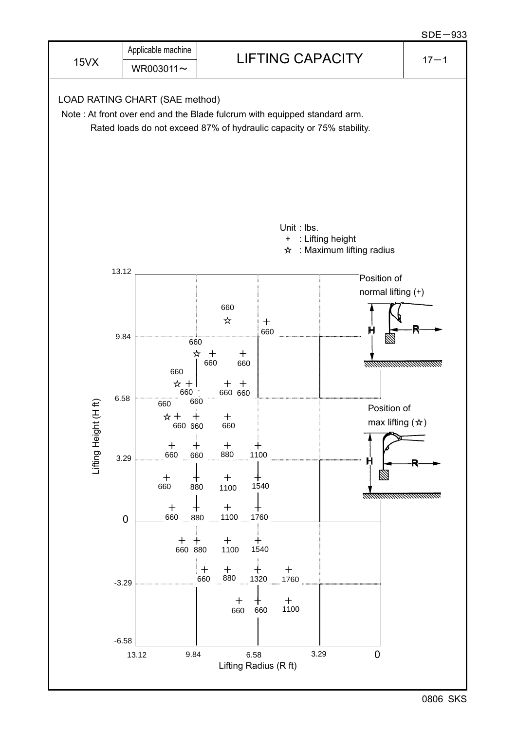

0806 SKS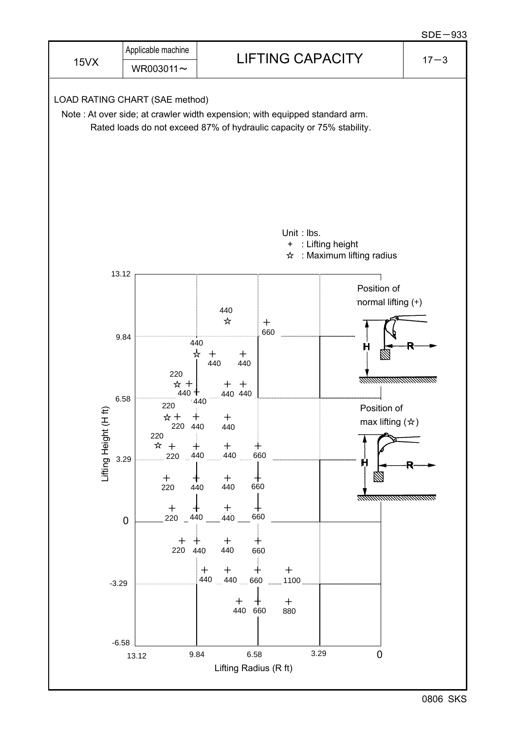

0806 SKS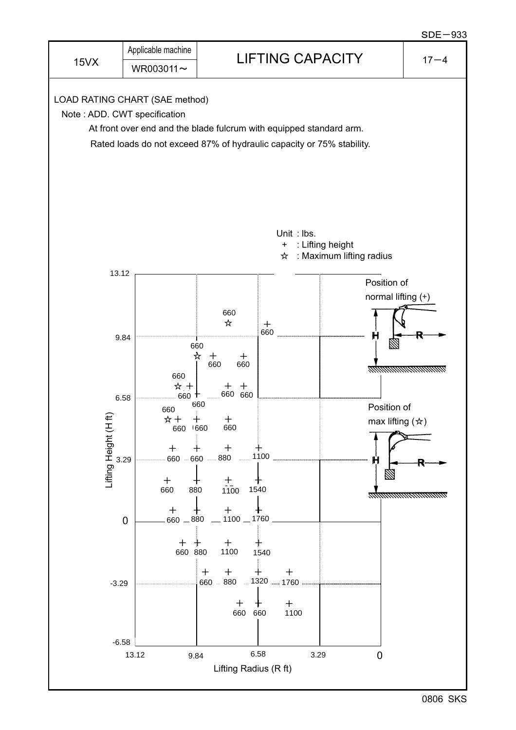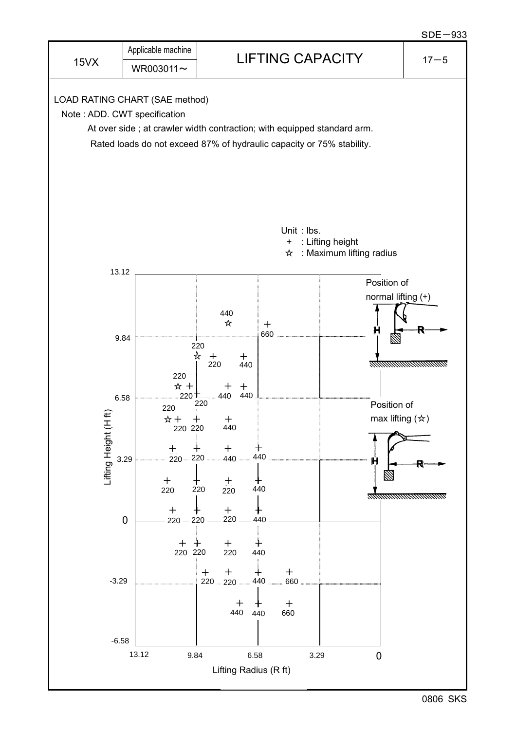